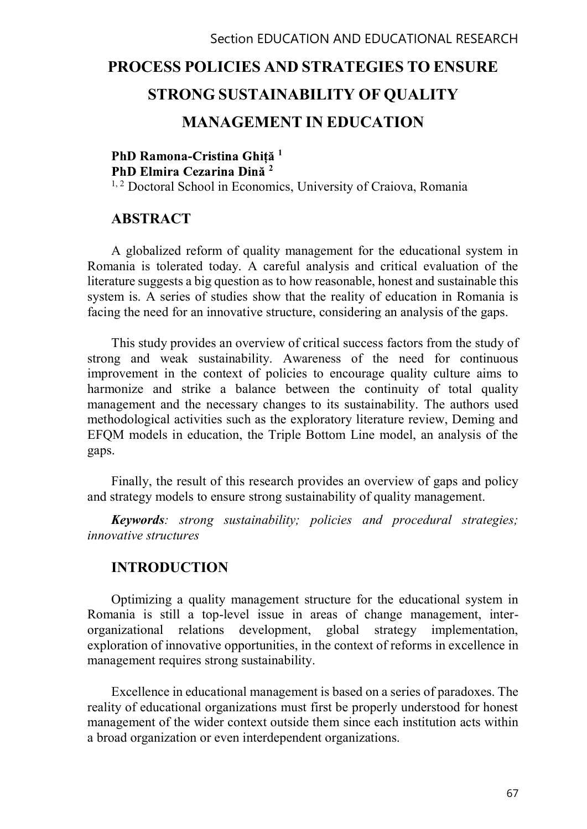# PROCESS POLICIES AND STRATEGIES TO ENSURE STRONG SUSTAINABILITY OF QUALITY

# MANAGEMENT IN EDUCATION

#### PhD Ramona-Cristina Ghită<sup>1</sup> 2 PhD Elmira Cezarina Dină<sup>2</sup>

<sup>1, 2</sup> Doctoral School in Economics, University of Craiova, Romania

# ABSTRACT

A globalized reform of quality management for the educational system in Romania is tolerated today. A careful analysis and critical evaluation of the literature suggests a big question as to how reasonable, honest and sustainable this system is. A series of studies show that the reality of education in Romania is facing the need for an innovative structure, considering an analysis of the gaps.

This study provides an overview of critical success factors from the study of strong and weak sustainability. Awareness of the need for continuous improvement in the context of policies to encourage quality culture aims to harmonize and strike a balance between the continuity of total quality management and the necessary changes to its sustainability. The authors used methodological activities such as the exploratory literature review, Deming and EFQM models in education, the Triple Bottom Line model, an analysis of the gaps.

Finally, the result of this research provides an overview of gaps and policy and strategy models to ensure strong sustainability of quality management.

Keywords: strong sustainability; policies and procedural strategies; innovative structures

# INTRODUCTION

Optimizing a quality management structure for the educational system in Romania is still a top-level issue in areas of change management, interorganizational relations development, global strategy implementation, exploration of innovative opportunities, in the context of reforms in excellence in management requires strong sustainability.

Excellence in educational management is based on a series of paradoxes. The reality of educational organizations must first be properly understood for honest management of the wider context outside them since each institution acts within a broad organization or even interdependent organizations.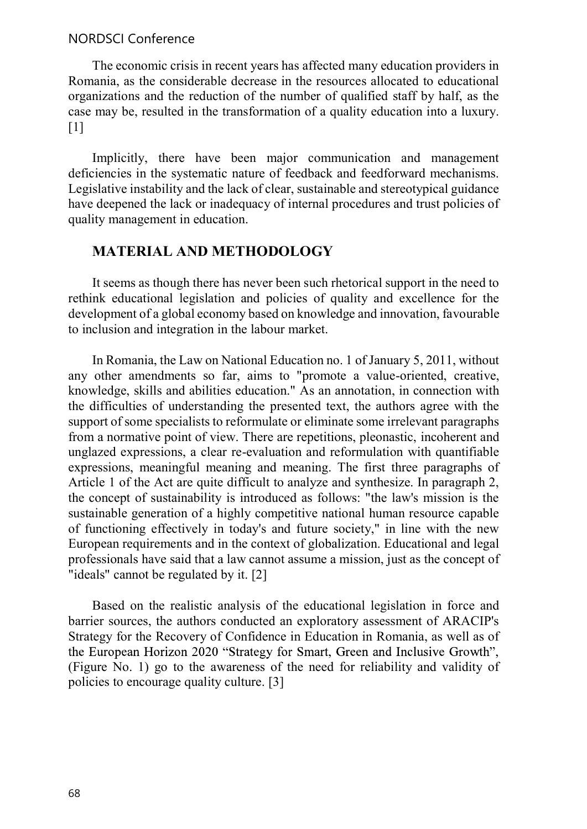#### NORDSCI Conference

The economic crisis in recent years has affected many education providers in Romania, as the considerable decrease in the resources allocated to educational organizations and the reduction of the number of qualified staff by half, as the case may be, resulted in the transformation of a quality education into a luxury. [1]

Implicitly, there have been major communication and management deficiencies in the systematic nature of feedback and feedforward mechanisms. Legislative instability and the lack of clear, sustainable and stereotypical guidance have deepened the lack or inadequacy of internal procedures and trust policies of quality management in education.

## MATERIAL AND METHODOLOGY

It seems as though there has never been such rhetorical support in the need to rethink educational legislation and policies of quality and excellence for the development of a global economy based on knowledge and innovation, favourable to inclusion and integration in the labour market.

In Romania, the Law on National Education no. 1 of January 5, 2011, without any other amendments so far, aims to "promote a value-oriented, creative, knowledge, skills and abilities education." As an annotation, in connection with the difficulties of understanding the presented text, the authors agree with the support of some specialists to reformulate or eliminate some irrelevant paragraphs from a normative point of view. There are repetitions, pleonastic, incoherent and unglazed expressions, a clear re-evaluation and reformulation with quantifiable expressions, meaningful meaning and meaning. The first three paragraphs of Article 1 of the Act are quite difficult to analyze and synthesize. In paragraph 2, the concept of sustainability is introduced as follows: "the law's mission is the sustainable generation of a highly competitive national human resource capable of functioning effectively in today's and future society," in line with the new European requirements and in the context of globalization. Educational and legal professionals have said that a law cannot assume a mission, just as the concept of "ideals" cannot be regulated by it. [2]

Based on the realistic analysis of the educational legislation in force and barrier sources, the authors conducted an exploratory assessment of ARACIP's Strategy for the Recovery of Confidence in Education in Romania, as well as of the European Horizon 2020 "Strategy for Smart, Green and Inclusive Growth", (Figure No. 1) go to the awareness of the need for reliability and validity of policies to encourage quality culture. [3]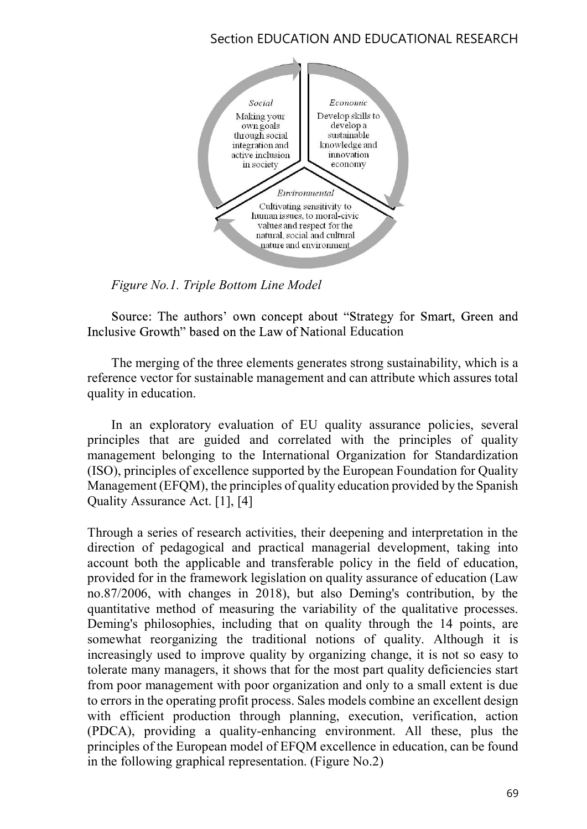## Section EDUCATION AND EDUCATIONAL RESEARCH



Figure No.1. Triple Bottom Line Model

Source: The authors' own concept about "Strategy for Smart, Green and Inclusive Growth" based on the Law of National Education

The merging of the three elements generates strong sustainability, which is a reference vector for sustainable management and can attribute which assures total quality in education.

In an exploratory evaluation of EU quality assurance policies, several principles that are guided and correlated with the principles of quality management belonging to the International Organization for Standardization (ISO), principles of excellence supported by the European Foundation for Quality Management (EFQM), the principles of quality education provided by the Spanish Quality Assurance Act. [1], [4]

Through a series of research activities, their deepening and interpretation in the direction of pedagogical and practical managerial development, taking into account both the applicable and transferable policy in the field of education, provided for in the framework legislation on quality assurance of education (Law no.87/2006, with changes in 2018), but also Deming's contribution, by the quantitative method of measuring the variability of the qualitative processes. Deming's philosophies, including that on quality through the 14 points, are somewhat reorganizing the traditional notions of quality. Although it is increasingly used to improve quality by organizing change, it is not so easy to tolerate many managers, it shows that for the most part quality deficiencies start from poor management with poor organization and only to a small extent is due management belonging to the International Organization for Standardization (ISO), principles of excellence supported by the European Foundation for Quality Asuangement (EFQM), the principles of quality education provided with efficient production through planning, execution, verification, action (PDCA), providing a quality-enhancing environment. All these, plus the principles of the European model of EFQM excellence in education, can be found in the following graphical representation. (Figure No.2)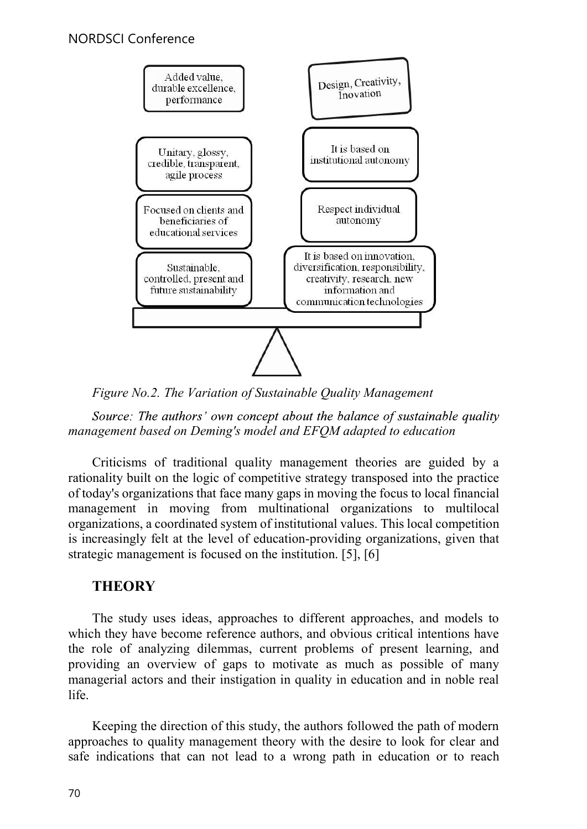

Figure No.2. The Variation of Sustainable Quality Management

Source: The authors' own concept about the balance of sustainable quality management based on Deming's model and EFQM adapted to education

Criticisms of traditional quality management theories are guided by a rationality built on the logic of competitive strategy transposed into the practice of today's organizations that face many gaps in moving the focus to local financial management in moving from multinational organizations to multilocal organizations, a coordinated system of institutional values. This local competition is increasingly felt at the level of education-providing organizations, given that strategic management is focused on the institution. [5], [6]

# **THEORY**

The study uses ideas, approaches to different approaches, and models to which they have become reference authors, and obvious critical intentions have the role of analyzing dilemmas, current problems of present learning, and providing an overview of gaps to motivate as much as possible of many managerial actors and their instigation in quality in education and in noble real life. of today's organizations that face many gaps in moving the focus to local financial<br>management in moving from multinational organizations to multilocal<br>organizations, a coordinated system of institutional values. This loca

Keeping the direction of this study, the authors followed the path of modern safe indications that can not lead to a wrong path in education or to reach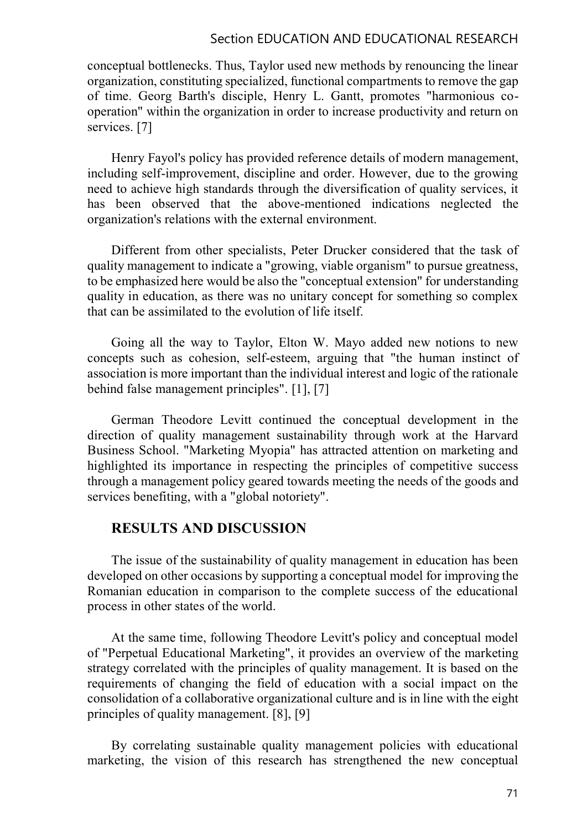#### Section EDUCATION AND EDUCATIONAL RESEARCH

conceptual bottlenecks. Thus, Taylor used new methods by renouncing the linear organization, constituting specialized, functional compartments to remove the gap of time. Georg Barth's disciple, Henry L. Gantt, promotes "harmonious cooperation" within the organization in order to increase productivity and return on services. [7]

Henry Fayol's policy has provided reference details of modern management, including self-improvement, discipline and order. However, due to the growing need to achieve high standards through the diversification of quality services, it has been observed that the above-mentioned indications neglected the organization's relations with the external environment.

Different from other specialists, Peter Drucker considered that the task of quality management to indicate a "growing, viable organism" to pursue greatness, to be emphasized here would be also the "conceptual extension" for understanding quality in education, as there was no unitary concept for something so complex that can be assimilated to the evolution of life itself.

Going all the way to Taylor, Elton W. Mayo added new notions to new concepts such as cohesion, self-esteem, arguing that "the human instinct of association is more important than the individual interest and logic of the rationale behind false management principles". [1], [7]

German Theodore Levitt continued the conceptual development in the direction of quality management sustainability through work at the Harvard Business School. "Marketing Myopia" has attracted attention on marketing and highlighted its importance in respecting the principles of competitive success through a management policy geared towards meeting the needs of the goods and services benefiting, with a "global notoriety".

#### RESULTS AND DISCUSSION

The issue of the sustainability of quality management in education has been developed on other occasions by supporting a conceptual model for improving the Romanian education in comparison to the complete success of the educational process in other states of the world.

At the same time, following Theodore Levitt's policy and conceptual model of "Perpetual Educational Marketing", it provides an overview of the marketing strategy correlated with the principles of quality management. It is based on the requirements of changing the field of education with a social impact on the consolidation of a collaborative organizational culture and is in line with the eight principles of quality management. [8], [9]

By correlating sustainable quality management policies with educational marketing, the vision of this research has strengthened the new conceptual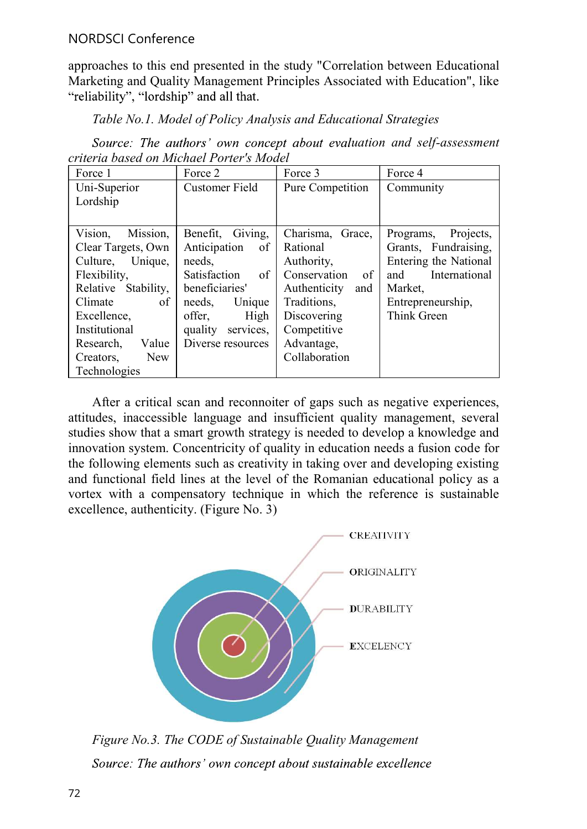Source: The authors' own concept about evaluation and self-assessment criteria based on Michael Porter's Model

| <b>NORDSCI Conference</b>                                                                                                                                                                                                 |                                                                                                                                                                                |                                                                                                                                                                     |                                                                                                                                                                |  |
|---------------------------------------------------------------------------------------------------------------------------------------------------------------------------------------------------------------------------|--------------------------------------------------------------------------------------------------------------------------------------------------------------------------------|---------------------------------------------------------------------------------------------------------------------------------------------------------------------|----------------------------------------------------------------------------------------------------------------------------------------------------------------|--|
| "reliability", "lordship" and all that.                                                                                                                                                                                   |                                                                                                                                                                                |                                                                                                                                                                     | approaches to this end presented in the study "Correlation between Educational<br>Marketing and Quality Management Principles Associated with Education", like |  |
| Table No.1. Model of Policy Analysis and Educational Strategies<br>Source: The authors' own concept about evaluation and self-assessment<br>criteria based on Michael Porter's Model                                      |                                                                                                                                                                                |                                                                                                                                                                     |                                                                                                                                                                |  |
| Force 1                                                                                                                                                                                                                   | Force 2                                                                                                                                                                        | Force 3                                                                                                                                                             | Force 4                                                                                                                                                        |  |
| Uni-Superior<br>Lordship                                                                                                                                                                                                  | <b>Customer Field</b>                                                                                                                                                          | Pure Competition                                                                                                                                                    | Community                                                                                                                                                      |  |
| Vision,<br>Mission,<br>Clear Targets, Own<br>Culture,<br>Unique,<br>Flexibility,<br>Relative Stability,<br>Climate<br>of<br>Excellence,<br>Institutional<br>Research,<br>Value<br><b>New</b><br>Creators,<br>Technologies | Giving,<br>Benefit,<br>Anticipation<br>of<br>needs,<br>Satisfaction<br>of<br>beneficiaries'<br>Unique<br>needs,<br>offer,<br>High<br>services,<br>quality<br>Diverse resources | Charisma, Grace,<br>Rational<br>Authority,<br>Conservation<br>of<br>Authenticity<br>and<br>Traditions,<br>Discovering<br>Competitive<br>Advantage,<br>Collaboration | Projects,<br>Programs,<br>Grants, Fundraising,<br>Entering the National<br>International<br>and<br>Market,<br>Entrepreneurship,<br>Think Green                 |  |

After a critical scan and reconnoiter of gaps such as negative experiences, attitudes, inaccessible language and insufficient quality management, several studies show that a smart growth strategy is needed to develop a knowledge and innovation system. Concentricity of quality in education needs a fusion code for the following elements such as creativity in taking over and developing existing and functional field lines at the level of the Romanian educational policy as a vortex with a compensatory technique in which the reference is sustainable excellence, authenticity. (Figure No. 3)



Figure No.3. The CODE of Sustainable Quality ManagementSource: The authors' own concept about sustainable excellence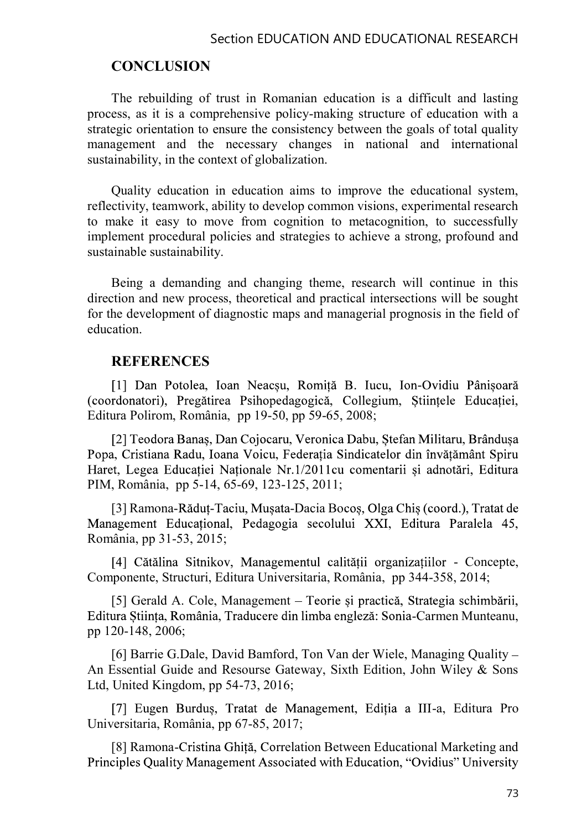#### **CONCLUSION**

The rebuilding of trust in Romanian education is a difficult and lasting process, as it is a comprehensive policy-making structure of education with a strategic orientation to ensure the consistency between the goals of total quality management and the necessary changes in national and international sustainability, in the context of globalization.

Quality education in education aims to improve the educational system, reflectivity, teamwork, ability to develop common visions, experimental research to make it easy to move from cognition to metacognition, to successfully implement procedural policies and strategies to achieve a strong, profound and sustainable sustainability.

Being a demanding and changing theme, research will continue in this direction and new process, theoretical and practical intersections will be sought for the development of diagnostic maps and managerial prognosis in the field of education.

#### **REFERENCES**

[1] Dan Potolea, Ioan Neacsu, Romită B. Iucu, Ion-Ovidiu Pânișoară (coordonatori), Pregătirea Psihopedagogică, Collegium, Științele Educației, Editura Polirom, România, pp 19-50, pp 59-65, 2008;

[2] Teodora Banaș, Dan Cojocaru, Veronica Dabu, Ștefan Militaru, Brândușa Popa, Cristiana Radu, Ioana Voicu, Federația Sindicatelor din învățământ Spiru Haret, Legea Educației Naționale Nr.1/2011cu comentarii și adnotări, Editura PIM, România, pp 5-14, 65-69, 123-125, 2011;

[3] Ramona-Răduț-Taciu, Mușata-Dacia Bocoș, Olga Chiș (coord.), Tratat de Management Educational, Pedagogia secolului XXI, Editura Paralela 45, România, pp 31-53, 2015;

[4] Cătălina Sitnikov, Managementul calității organizațiilor - Concepte, Componente, Structuri, Editura Universitaria, România, pp 344-358, 2014;

[5] Gerald A. Cole, Management – Teorie și practică, Strategia schimbării, Editura Stiinta, România, Traducere din limba engleză: Sonia-Carmen Munteanu, pp 120-148, 2006;

[6] Barrie G.Dale, David Bamford, Ton Van der Wiele, Managing Quality An Essential Guide and Resourse Gateway, Sixth Edition, John Wiley & Sons Ltd, United Kingdom, pp 54-73, 2016;

[7] Eugen Burdus, Tratat de Management, Ediția a III-a, Editura Pro Universitaria, România, pp 67-85, 2017;

[8] Ramona-Cristina Ghiță, Correlation Between Educational Marketing and Principles Quality Management Associated with Education, "Ovidius" University